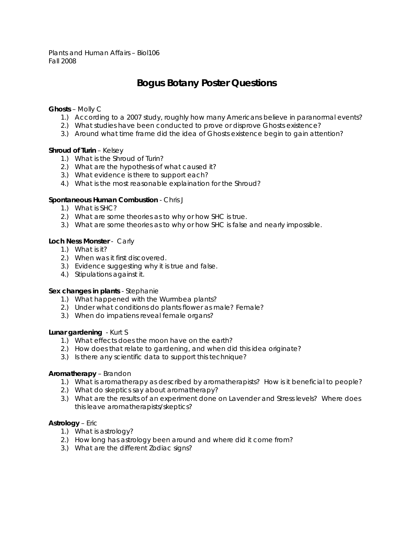Plants and Human Affairs – Biol106 Fall 2008

# **Bogus Botany Poster Questions**

# **Ghosts** – Molly C

- 1.) According to a 2007 study, roughly how many Americans believe in paranormal events?
- 2.) What studies have been conducted to prove or disprove Ghosts existence?
- 3.) Around what time frame did the idea of Ghosts existence begin to gain attention?

## **Shroud of Turin** – Kelsey

- 1.) What is the Shroud of Turin?
- 2.) What are the hypothesis of what caused it?
- 3.) What evidence is there to support each?
- 4.) What is the most reasonable explaination for the Shroud?

## **Spontaneous Human Combustion** - Chris J

- 1.) What is SHC?
- 2.) What are some theories as to why or how SHC is true.
- 3.) What are some theories as to why or how SHC is false and nearly impossible.

## **Loch Ness Monster** - Carly

- 1.) What is it?
- 2.) When was it first discovered.
- 3.) Evidence suggesting why it is true and false.
- 4.) Stipulations against it.

#### **Sex changes in plants** - Stephanie

- 1.) What happened with the Wurmbea plants?
- 2.) Under what conditions do plants flower as male? Female?
- 3.) When do impatiens reveal female organs?

#### **Lunar gardening** - Kurt S

- 1.) What effects does the moon have on the earth?
- 2.) How does that relate to gardening, and when did this idea originate?
- 3.) Is there any scientific data to support this technique?

#### **Aromatherapy** – Brandon

- 1.) What is aromatherapy as described by aromatherapists? How is it beneficial to people?
- 2.) What do skeptics say about aromatherapy?
- 3.) What are the results of an experiment done on Lavender and Stress levels? Where does this leave aromatherapists/skeptics?

#### **Astrology** – Eric

- 1.) What is astrology?
- 2.) How long has astrology been around and where did it come from?
- 3.) What are the different Zodiac signs?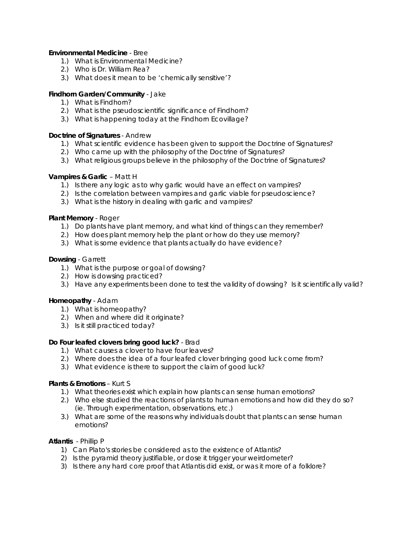## **Environmental Medicine** - Bree

- 1.) What is Environmental Medicine?
- 2.) Who is Dr. William Rea?
- 3.) What does it mean to be 'chemically sensitive'?

# **Findhorn Garden/Community** - Jake

- 1.) What is Findhorn?
- 2.) What is the pseudoscientific significance of Findhorn?
- 3.) What is happening today at the Findhorn Ecovillage?

# **Doctrine of Signatures** - Andrew

- 1.) What scientific evidence has been given to support the Doctrine of Signatures?
- 2.) Who came up with the philosophy of the Doctrine of Signatures?
- 3.) What religious groups believe in the philosophy of the Doctrine of Signatures?

# **Vampires & Garlic** – Matt H

- 1.) Is there any logic as to why garlic would have an effect on vampires?
- 2.) Is the correlation between vampires and garlic viable for pseudoscience?
- 3.) What is the history in dealing with garlic and vampires?

# **Plant Memory** - Roger

- 1.) Do plants have plant memory, and what kind of things can they remember?
- 2.) How does plant memory help the plant or how do they use memory?
- 3.) What is some evidence that plants actually do have evidence?

# **Dowsing** - Garrett

- 1.) What is the purpose or goal of dowsing?
- 2.) How is dowsing practiced?
- 3.) Have any experiments been done to test the validity of dowsing? Is it scientifically valid?

# **Homeopathy** - Adam

- 1.) What is homeopathy?
- 2.) When and where did it originate?
- 3.) Is it still practiced today?

# **Do Four leafed clovers bring good luck?** - Brad

- 1.) What causes a clover to have four leaves?
- 2.) Where does the idea of a four leafed clover bringing good luck come from?
- 3.) What evidence is there to support the claim of good luck?

# **Plants & Emotions** – Kurt S

- 1.) What theories exist which explain how plants can sense human emotions?
- 2.) Who else studied the reactions of plants to human emotions and how did they do so? (ie. Through experimentation, observations, etc.)
- 3.) What are some of the reasons why individuals doubt that plants can sense human emotions?

# **Atlantis** - Phillip P

- 1) Can Plato's stories be considered as to the existence of Atlantis?
- 2) Is the pyramid theory justifiable, or dose it trigger your weirdometer?
- 3) Is there any hard core proof that Atlantis did exist, or was it more of a folklore?